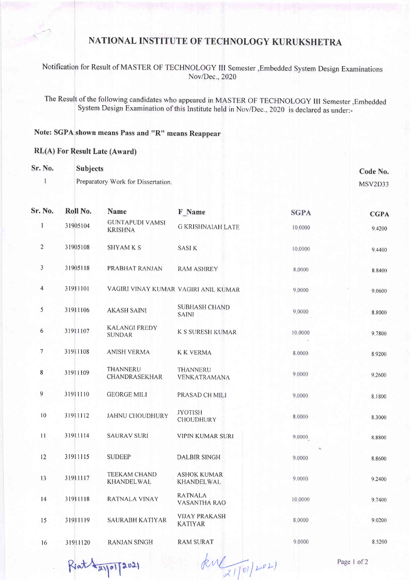## NATIONAL INSTITUTE OF TECHNOLOGY KURUKSHETRA

Notification for Result of MASTER OF TECHNOLOGY III Semester , Embedded System Design Examinations Nov/Dec., 2020

The Result of the following candidates who appeared in MASTER OF TECHNOLOGY III Semester , Embedded System Design Examination of this Institute held in Nov/Dec., 2020 is declared as under:-

## Note: SGPA shown means Pass and "R" means Reappear

## **RL(A)** For Result Late (Award)

| <b>Sr. No.</b> | <b>Subjects</b>                    | Code No. |
|----------------|------------------------------------|----------|
|                | Preparatory Work for Dissertation. | MSV2D33  |

| Sr. No.         | Roll No. | <b>Name</b>                              | F Name                                 | <b>SGPA</b> | <b>CGPA</b> |
|-----------------|----------|------------------------------------------|----------------------------------------|-------------|-------------|
| 1               | 31905104 | <b>GUNTAPUDI VAMSI</b><br><b>KRISHNA</b> | <b>G KRISHNAIAH LATE</b>               | 10,0000     | 9.4200      |
| $\overline{c}$  | 31905108 | <b>SHYAMKS</b>                           | <b>SASIK</b>                           | 10,0000     | 9.4400      |
| $\mathfrak{Z}$  | 31905118 | PRABHAT RANJAN                           | <b>RAM ASHREY</b>                      | 8,0000      | 8.8400      |
| $\overline{4}$  | 31911101 | VAGIRI VINAY KUMAR VAGIRI ANIL KUMAR     |                                        | 9,0000      | 9.0600      |
| 5               | 31911106 | <b>AKASH SAINI</b>                       | <b>SUBHASH CHAND</b><br><b>SAINI</b>   | 9.0000      | 8,8000      |
| 6               | 31911107 | <b>KALANGI FREDY</b><br><b>SUNDAR</b>    | <b>K S SURESH KUMAR</b>                | 10.0000     | 9.7800      |
| $7\overline{ }$ | 31911108 | <b>ANISH VERMA</b>                       | <b>K K VERMA</b>                       | 8.0000      | 8.9200      |
| 8               | 31911109 | THANNERU<br>CHANDRASEKHAR                | THANNERU<br>VENKATRAMANA               | 9,0000      | 9,2600      |
| 9               | 31911110 | <b>GEORGE MILI</b>                       | PRASAD CH MILI                         | 9.0000      | 8.1800      |
| 10              | 31911112 | <b>JAHNU CHOUDHURY</b>                   | <b>JYOTISH</b><br><b>CHOUDHURY</b>     | 8.0000      | 8.3000      |
| 11              | 31911114 | <b>SAURAV SURI</b>                       | <b>VIPIN KUMAR SURI</b>                | 9,0000      | 8.8800      |
| 12              | 31911115 | <b>SUDEEP</b>                            | <b>DALBIR SINGH</b>                    | 9.0000      | 8.8600      |
| 13              | 31911117 | <b>TEEKAM CHAND</b><br>KHANDELWAL        | <b>ASHOK KUMAR</b><br>KHANDELWAL       | 9.0000      | 9.2400      |
| 14              | 31911118 | RATNALA VINAY                            | <b>RATNALA</b><br><b>VASANTHA RAO</b>  | 10.0000     | 9.7400      |
| 15              | 31911119 | SAURABH KATIYAR                          | <b>VIJAY PRAKASH</b><br><b>KATIYAR</b> | 8.0000      | 9.0200      |
| 16              | 31911120 | <b>RANJAN SINGH</b>                      | <b>RAM SURAT</b>                       | 9.0000      | 8.5200      |
|                 |          |                                          |                                        |             |             |

Reat Layor [2021

Jene 21/01/2021